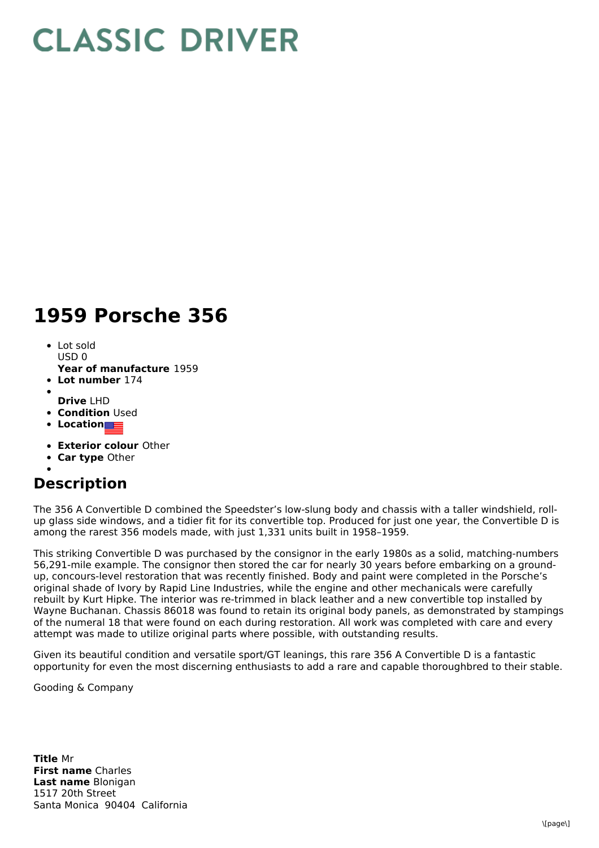## **CLASSIC DRIVER**

## **1959 Porsche 356**

- Lot sold  $USDO$
- **Year of manufacture** 1959
- **Lot number** 174
- 
- **Drive** LHD **• Condition Used**
- **Location**
- **Exterior colour** Other
- 
- **Car type** Other

## **Description**

The 356 A Convertible D combined the Speedster's low-slung body and chassis with a taller windshield, rollup glass side windows, and a tidier fit for its convertible top. Produced for just one year, the Convertible D is among the rarest 356 models made, with just 1,331 units built in 1958–1959.

This striking Convertible D was purchased by the consignor in the early 1980s as a solid, matching-numbers 56,291-mile example. The consignor then stored the car for nearly 30 years before embarking on a groundup, concours-level restoration that was recently finished. Body and paint were completed in the Porsche's original shade of Ivory by Rapid Line Industries, while the engine and other mechanicals were carefully rebuilt by Kurt Hipke. The interior was re-trimmed in black leather and a new convertible top installed by Wayne Buchanan. Chassis 86018 was found to retain its original body panels, as demonstrated by stampings of the numeral 18 that were found on each during restoration. All work was completed with care and every attempt was made to utilize original parts where possible, with outstanding results.

Given its beautiful condition and versatile sport/GT leanings, this rare 356 A Convertible D is a fantastic opportunity for even the most discerning enthusiasts to add a rare and capable thoroughbred to their stable.

Gooding & Company

**Title** Mr **First name** Charles **Last name** Blonigan 1517 20th Street Santa Monica 90404 California